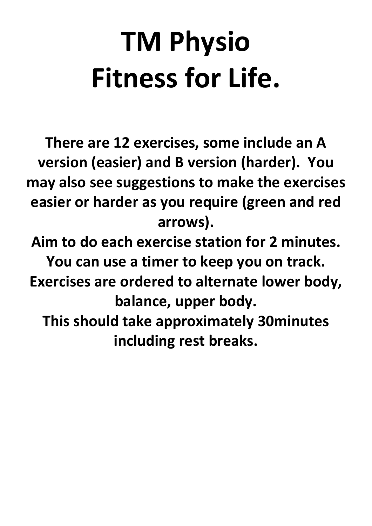### TM Physio Fitness for Life.

There are 12 exercises, some include an A version (easier) and B version (harder). You may also see suggestions to make the exercises easier or harder as you require (green and red arrows).

Aim to do each exercise station for 2 minutes. You can use a timer to keep you on track. Exercises are ordered to alternate lower body, balance, upper body. This should take approximately 30minutes including rest breaks.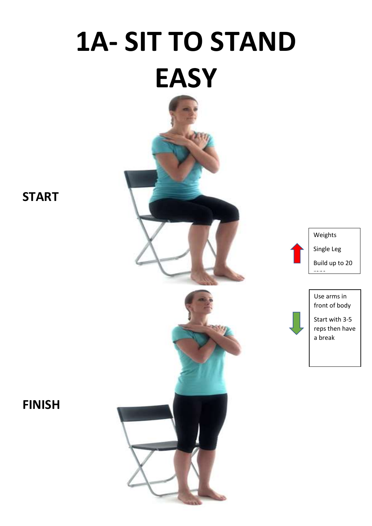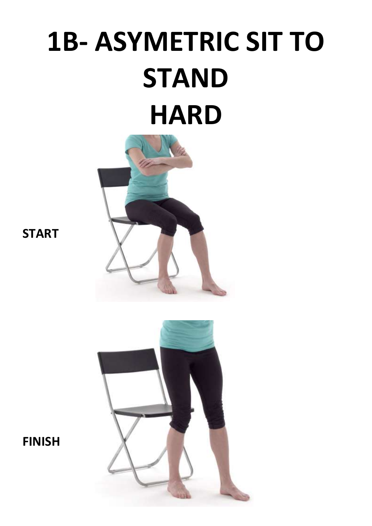## 1B- ASYMETRIC SIT TO **STAND HARD**



**START** 

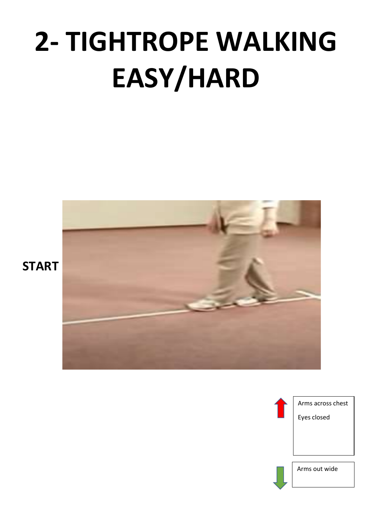# 2- TIGHTROPE WALKING EASY/HARD



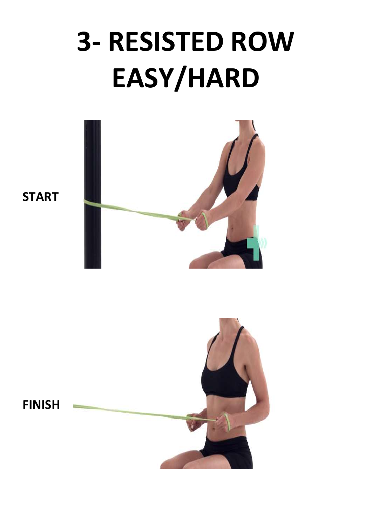### 3- RESISTED ROW EASY/HARD



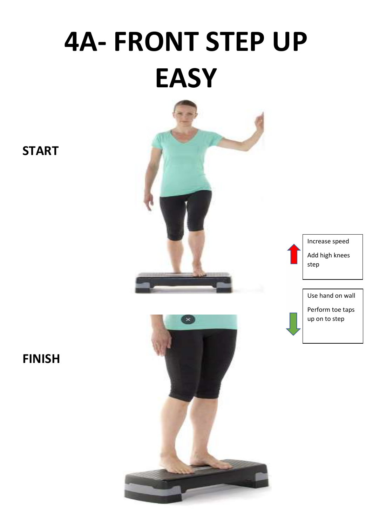# 4A- FRONT STEP UP **EASY**



Increase speed Add high knees step

Use hand on wall



FINISH

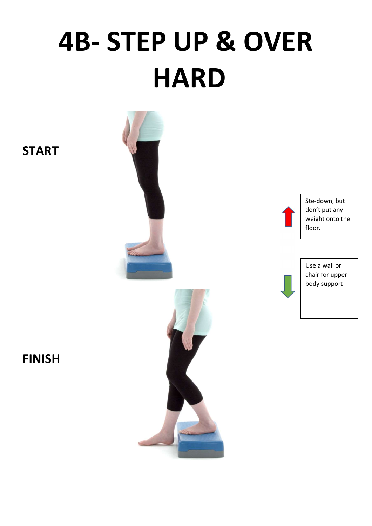### 4B- STEP UP & OVER **HARD**

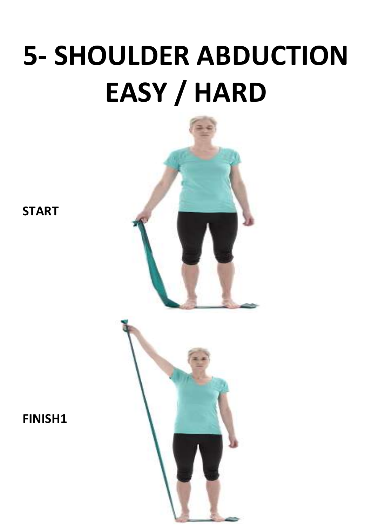## 5- SHOULDER ABDUCTION EASY / HARD





**START**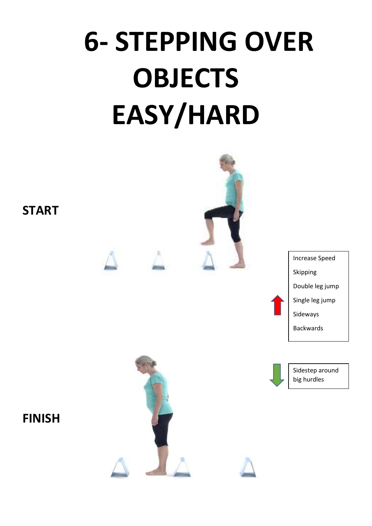# 6- STEPPING OVER OBJECTS EASY/HARD



Increase Speed Skipping Double leg jump Single leg jump Sideways

Backwards

Sidestep around big hurdles



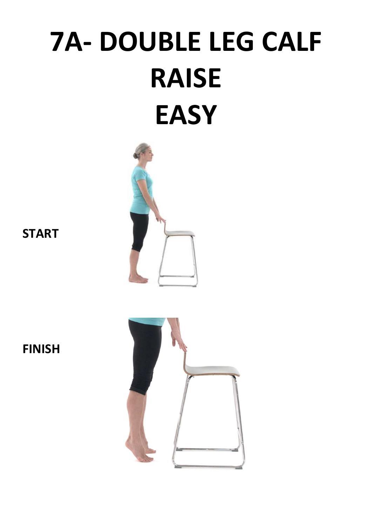### 7A- DOUBLE LEG CALF RAISE **EASY**



**START** 

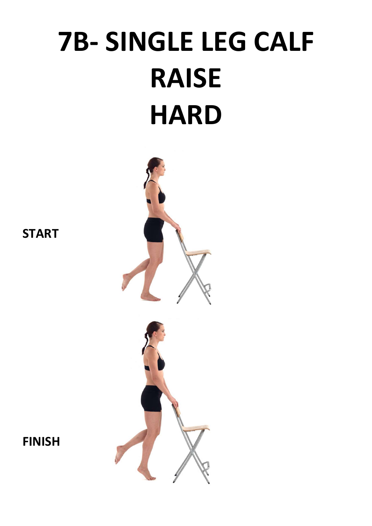## 7B- SINGLE LEG CALF RAISE **HARD**



**START**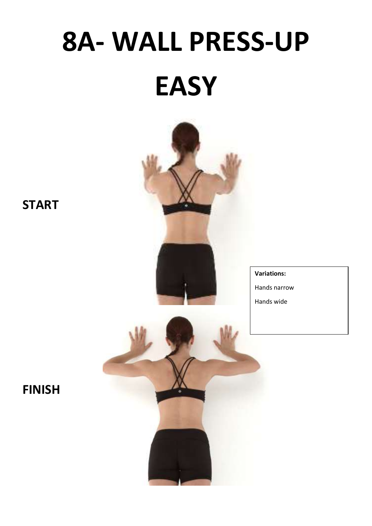# 8A- WALL PRESS-UP **EASY**



#### Variations:

Hands narrow

Hands wide

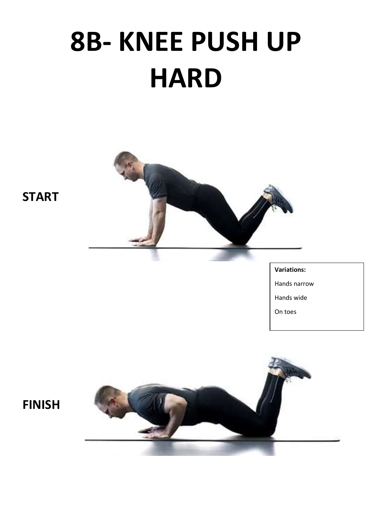### 8B- KNEE PUSH UP **HARD**



**START** 

#### Variations:

Hands narrow

Hands wide

On toes

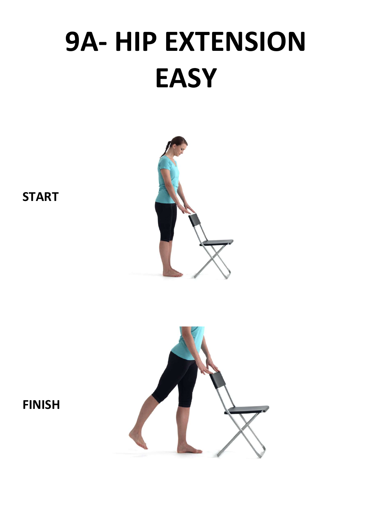# 9A- HIP EXTENSION **EASY**



**START** 

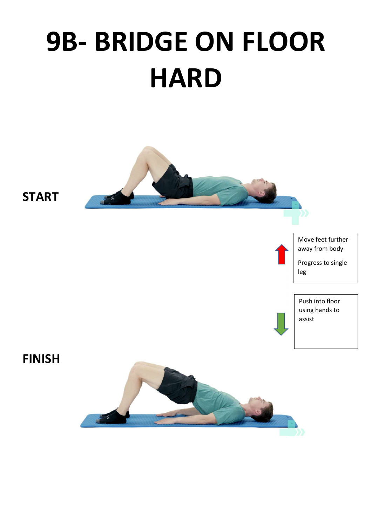## 9B- BRIDGE ON FLOOR **HARD**

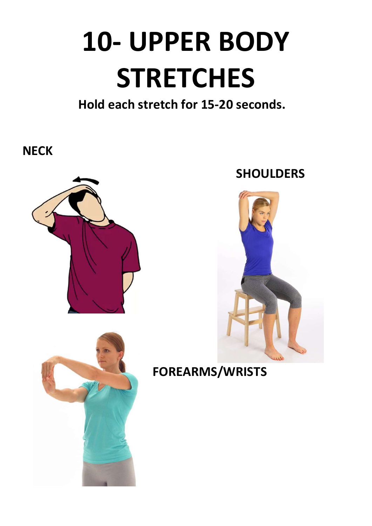# 10- UPPER BODY **STRETCHES**

### Hold each stretch for 15-20 seconds.

**NECK** 



### **SHOULDERS**



FOREARMS/WRISTS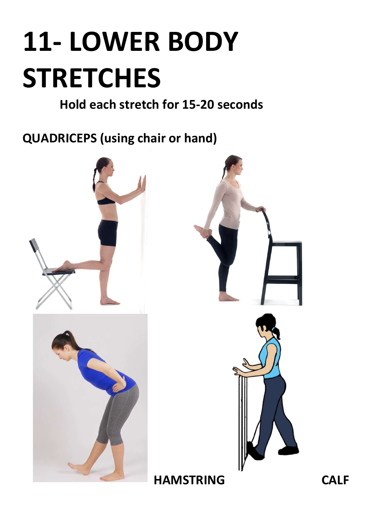# 11- LOWER BODY **STRETCHES**

Hold each stretch for 15-20 seconds

QUADRICEPS (using chair or hand)





HAMSTRING CALF